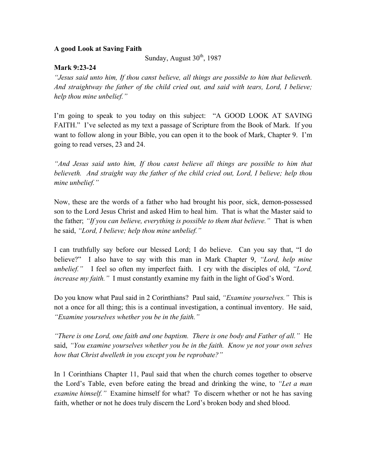## **A good Look at Saving Faith**

Sunday, August  $30<sup>th</sup>$ , 1987

## **Mark 9:23-24**

*"Jesus said unto him, If thou canst believe, all things are possible to him that believeth. And straightway the father of the child cried out, and said with tears, Lord, I believe; help thou mine unbelief."*

I'm going to speak to you today on this subject: "A GOOD LOOK AT SAVING FAITH." I've selected as my text a passage of Scripture from the Book of Mark. If you want to follow along in your Bible, you can open it to the book of Mark, Chapter 9. I'm going to read verses, 23 and 24.

*"And Jesus said unto him, If thou canst believe all things are possible to him that believeth. And straight way the father of the child cried out, Lord, I believe; help thou mine unbelief."*

Now, these are the words of a father who had brought his poor, sick, demon-possessed son to the Lord Jesus Christ and asked Him to heal him. That is what the Master said to the father; *"If you can believe, everything is possible to them that believe."* That is when he said, *"Lord, I believe; help thou mine unbelief."*

I can truthfully say before our blessed Lord; I do believe. Can you say that, "I do believe?" I also have to say with this man in Mark Chapter 9, *"Lord, help mine unbelief."* I feel so often my imperfect faith. I cry with the disciples of old, *"Lord, increase my faith."* I must constantly examine my faith in the light of God's Word.

Do you know what Paul said in 2 Corinthians? Paul said, *"Examine yourselves."* This is not a once for all thing; this is a continual investigation, a continual inventory. He said, *"Examine yourselves whether you be in the faith."* 

*"There is one Lord, one faith and one baptism. There is one body and Father of all."* He said, *"You examine yourselves whether you be in the faith. Know ye not your own selves how that Christ dwelleth in you except you be reprobate?"* 

In 1 Corinthians Chapter 11, Paul said that when the church comes together to observe the Lord's Table, even before eating the bread and drinking the wine, to *"Let a man examine himself.*" Examine himself for what? To discern whether or not he has saving faith, whether or not he does truly discern the Lord's broken body and shed blood.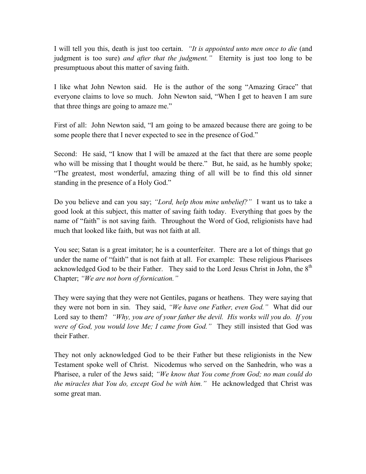I will tell you this, death is just too certain. *"It is appointed unto men once to die* (and judgment is too sure) *and after that the judgment."* Eternity is just too long to be presumptuous about this matter of saving faith.

I like what John Newton said. He is the author of the song "Amazing Grace" that everyone claims to love so much. John Newton said, "When I get to heaven I am sure that three things are going to amaze me."

First of all: John Newton said, "I am going to be amazed because there are going to be some people there that I never expected to see in the presence of God."

Second: He said, "I know that I will be amazed at the fact that there are some people who will be missing that I thought would be there." But, he said, as he humbly spoke; "The greatest, most wonderful, amazing thing of all will be to find this old sinner standing in the presence of a Holy God."

Do you believe and can you say; *"Lord, help thou mine unbelief?"* I want us to take a good look at this subject, this matter of saving faith today. Everything that goes by the name of "faith" is not saving faith. Throughout the Word of God, religionists have had much that looked like faith, but was not faith at all.

You see; Satan is a great imitator; he is a counterfeiter. There are a lot of things that go under the name of "faith" that is not faith at all. For example: These religious Pharisees acknowledged God to be their Father. They said to the Lord Jesus Christ in John, the 8<sup>th</sup> Chapter; *"We are not born of fornication."* 

They were saying that they were not Gentiles, pagans or heathens. They were saying that they were not born in sin. They said, *"We have one Father, even God."* What did our Lord say to them? *"Why, you are of your father the devil. His works will you do. If you were of God, you would love Me; I came from God."* They still insisted that God was their Father.

They not only acknowledged God to be their Father but these religionists in the New Testament spoke well of Christ. Nicodemus who served on the Sanhedrin, who was a Pharisee, a ruler of the Jews said; *"We know that You come from God; no man could do the miracles that You do, except God be with him."* He acknowledged that Christ was some great man.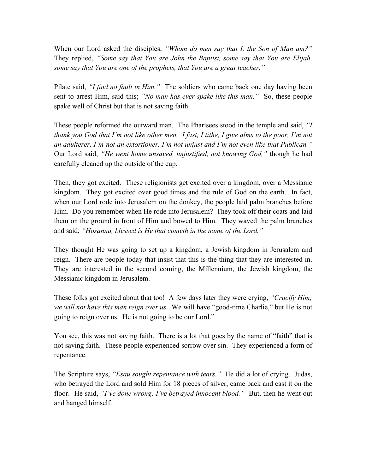When our Lord asked the disciples, *"Whom do men say that I, the Son of Man am?"* They replied, *"Some say that You are John the Baptist, some say that You are Elijah, some say that You are one of the prophets, that You are a great teacher."*

Pilate said, *"I find no fault in Him."* The soldiers who came back one day having been sent to arrest Him, said this; *"No man has ever spake like this man."* So, these people spake well of Christ but that is not saving faith.

These people reformed the outward man. The Pharisees stood in the temple and said, *"I thank you God that I'm not like other men. I fast, I tithe, I give alms to the poor, I'm not an adulterer, I'm not an extortioner, I'm not unjust and I'm not even like that Publican."* Our Lord said, *"He went home unsaved, unjustified, not knowing God,"* though he had carefully cleaned up the outside of the cup.

Then, they got excited. These religionists get excited over a kingdom, over a Messianic kingdom. They got excited over good times and the rule of God on the earth. In fact, when our Lord rode into Jerusalem on the donkey, the people laid palm branches before Him. Do you remember when He rode into Jerusalem? They took off their coats and laid them on the ground in front of Him and bowed to Him. They waved the palm branches and said; *"Hosanna, blessed is He that cometh in the name of the Lord."* 

They thought He was going to set up a kingdom, a Jewish kingdom in Jerusalem and reign. There are people today that insist that this is the thing that they are interested in. They are interested in the second coming, the Millennium, the Jewish kingdom, the Messianic kingdom in Jerusalem.

These folks got excited about that too! A few days later they were crying, *"Crucify Him; we will not have this man reign over us.* We will have "good-time Charlie," but He is not going to reign over us. He is not going to be our Lord."

You see, this was not saving faith. There is a lot that goes by the name of "faith" that is not saving faith. These people experienced sorrow over sin. They experienced a form of repentance.

The Scripture says, *"Esau sought repentance with tears."* He did a lot of crying. Judas, who betrayed the Lord and sold Him for 18 pieces of silver, came back and cast it on the floor. He said, *"I've done wrong; I've betrayed innocent blood."* But, then he went out and hanged himself.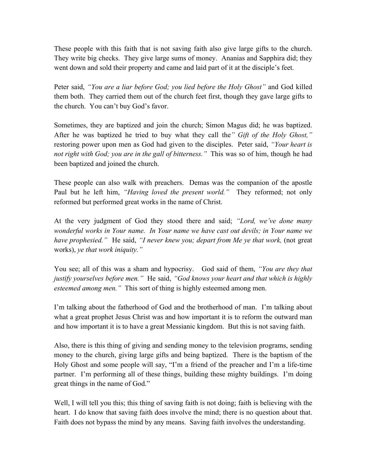These people with this faith that is not saving faith also give large gifts to the church. They write big checks. They give large sums of money. Ananias and Sapphira did; they went down and sold their property and came and laid part of it at the disciple's feet.

Peter said, *"You are a liar before God; you lied before the Holy Ghost"* and God killed them both. They carried them out of the church feet first, though they gave large gifts to the church. You can't buy God's favor.

Sometimes, they are baptized and join the church; Simon Magus did; he was baptized. After he was baptized he tried to buy what they call the*" Gift of the Holy Ghost,"* restoring power upon men as God had given to the disciples. Peter said, *"Your heart is not right with God; you are in the gall of bitterness."* This was so of him, though he had been baptized and joined the church.

These people can also walk with preachers. Demas was the companion of the apostle Paul but he left him, *"Having loved the present world."* They reformed; not only reformed but performed great works in the name of Christ.

At the very judgment of God they stood there and said; *"Lord, we've done many wonderful works in Your name. In Your name we have cast out devils; in Your name we have prophesied."* He said, *"I never knew you; depart from Me ye that work,* (not great works), *ye that work iniquity."*

You see; all of this was a sham and hypocrisy. God said of them, *"You are they that justify yourselves before men."* He said, *"God knows your heart and that which is highly esteemed among men."* This sort of thing is highly esteemed among men.

I'm talking about the fatherhood of God and the brotherhood of man. I'm talking about what a great prophet Jesus Christ was and how important it is to reform the outward man and how important it is to have a great Messianic kingdom. But this is not saving faith.

Also, there is this thing of giving and sending money to the television programs, sending money to the church, giving large gifts and being baptized. There is the baptism of the Holy Ghost and some people will say, "I'm a friend of the preacher and I'm a life-time partner. I'm performing all of these things, building these mighty buildings. I'm doing great things in the name of God."

Well, I will tell you this; this thing of saving faith is not doing; faith is believing with the heart. I do know that saving faith does involve the mind; there is no question about that. Faith does not bypass the mind by any means. Saving faith involves the understanding.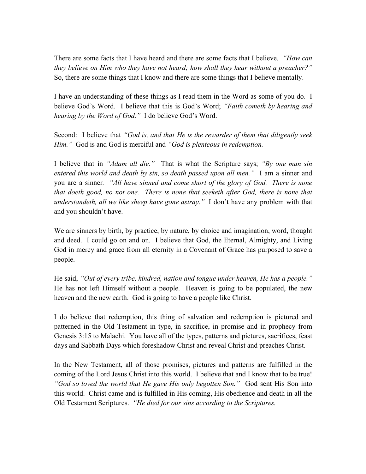There are some facts that I have heard and there are some facts that I believe. *"How can they believe on Him who they have not heard; how shall they hear without a preacher?"* So, there are some things that I know and there are some things that I believe mentally.

I have an understanding of these things as I read them in the Word as some of you do. I believe God's Word. I believe that this is God's Word; *"Faith cometh by hearing and hearing by the Word of God."* I do believe God's Word.

Second: I believe that *"God is, and that He is the rewarder of them that diligently seek Him."* God is and God is merciful and *"God is plenteous in redemption.*

I believe that in *"Adam all die."* That is what the Scripture says; *"By one man sin entered this world and death by sin, so death passed upon all men."* I am a sinner and you are a sinner*. "All have sinned and come short of the glory of God. There is none that doeth good, no not one. There is none that seeketh after God, there is none that understandeth, all we like sheep have gone astray."* I don't have any problem with that and you shouldn't have.

We are sinners by birth, by practice, by nature, by choice and imagination, word, thought and deed. I could go on and on. I believe that God, the Eternal, Almighty, and Living God in mercy and grace from all eternity in a Covenant of Grace has purposed to save a people.

He said, *"Out of every tribe, kindred, nation and tongue under heaven, He has a people."*  He has not left Himself without a people. Heaven is going to be populated, the new heaven and the new earth. God is going to have a people like Christ.

I do believe that redemption, this thing of salvation and redemption is pictured and patterned in the Old Testament in type, in sacrifice, in promise and in prophecy from Genesis 3:15 to Malachi. You have all of the types, patterns and pictures, sacrifices, feast days and Sabbath Days which foreshadow Christ and reveal Christ and preaches Christ.

In the New Testament, all of those promises, pictures and patterns are fulfilled in the coming of the Lord Jesus Christ into this world. I believe that and I know that to be true! *"God so loved the world that He gave His only begotten Son."* God sent His Son into this world. Christ came and is fulfilled in His coming, His obedience and death in all the Old Testament Scriptures. *"He died for our sins according to the Scriptures.*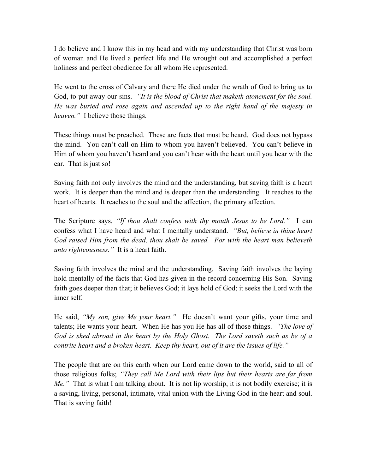I do believe and I know this in my head and with my understanding that Christ was born of woman and He lived a perfect life and He wrought out and accomplished a perfect holiness and perfect obedience for all whom He represented.

He went to the cross of Calvary and there He died under the wrath of God to bring us to God, to put away our sins. *"It is the blood of Christ that maketh atonement for the soul. He was buried and rose again and ascended up to the right hand of the majesty in heaven."* I believe those things.

These things must be preached. These are facts that must be heard. God does not bypass the mind. You can't call on Him to whom you haven't believed. You can't believe in Him of whom you haven't heard and you can't hear with the heart until you hear with the ear. That is just so!

Saving faith not only involves the mind and the understanding, but saving faith is a heart work. It is deeper than the mind and is deeper than the understanding. It reaches to the heart of hearts. It reaches to the soul and the affection, the primary affection.

The Scripture says, *"If thou shalt confess with thy mouth Jesus to be Lord."* I can confess what I have heard and what I mentally understand. *"But, believe in thine heart God raised Him from the dead, thou shalt be saved. For with the heart man believeth unto righteousness."* It is a heart faith.

Saving faith involves the mind and the understanding. Saving faith involves the laying hold mentally of the facts that God has given in the record concerning His Son. Saving faith goes deeper than that; it believes God; it lays hold of God; it seeks the Lord with the inner self.

He said, *"My son, give Me your heart."* He doesn't want your gifts, your time and talents; He wants your heart. When He has you He has all of those things. *"The love of God is shed abroad in the heart by the Holy Ghost. The Lord saveth such as be of a contrite heart and a broken heart. Keep thy heart, out of it are the issues of life."*

The people that are on this earth when our Lord came down to the world, said to all of those religious folks; *"They call Me Lord with their lips but their hearts are far from Me."* That is what I am talking about. It is not lip worship, it is not bodily exercise; it is a saving, living, personal, intimate, vital union with the Living God in the heart and soul. That is saving faith!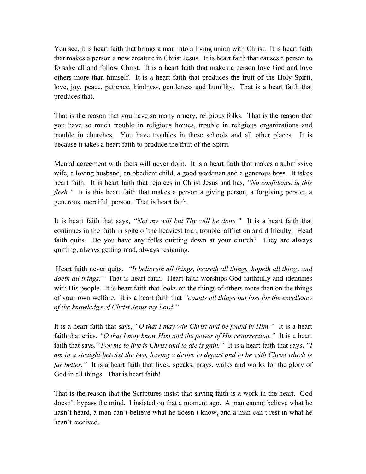You see, it is heart faith that brings a man into a living union with Christ. It is heart faith that makes a person a new creature in Christ Jesus. It is heart faith that causes a person to forsake all and follow Christ. It is a heart faith that makes a person love God and love others more than himself. It is a heart faith that produces the fruit of the Holy Spirit, love, joy, peace, patience, kindness, gentleness and humility. That is a heart faith that produces that.

That is the reason that you have so many ornery, religious folks. That is the reason that you have so much trouble in religious homes, trouble in religious organizations and trouble in churches. You have troubles in these schools and all other places. It is because it takes a heart faith to produce the fruit of the Spirit.

Mental agreement with facts will never do it. It is a heart faith that makes a submissive wife, a loving husband, an obedient child, a good workman and a generous boss. It takes heart faith. It is heart faith that rejoices in Christ Jesus and has, *"No confidence in this flesh.*" It is this heart faith that makes a person a giving person, a forgiving person, a generous, merciful, person. That is heart faith.

It is heart faith that says, *"Not my will but Thy will be done."* It is a heart faith that continues in the faith in spite of the heaviest trial, trouble, affliction and difficulty. Head faith quits. Do you have any folks quitting down at your church? They are always quitting, always getting mad, always resigning.

Heart faith never quits. *"It believeth all things, beareth all things, hopeth all things and doeth all things."* That is heart faith. Heart faith worships God faithfully and identifies with His people. It is heart faith that looks on the things of others more than on the things of your own welfare. It is a heart faith that *"counts all things but loss for the excellency of the knowledge of Christ Jesus my Lord."*

It is a heart faith that says, *"O that I may win Christ and be found in Him."* It is a heart faith that cries, *"O that I may know Him and the power of His resurrection."* It is a heart faith that says, "*For me to live is Christ and to die is gain."* It is a heart faith that says, *"I am in a straight betwixt the two, having a desire to depart and to be with Christ which is far better.*" It is a heart faith that lives, speaks, prays, walks and works for the glory of God in all things. That is heart faith!

That is the reason that the Scriptures insist that saving faith is a work in the heart. God doesn't bypass the mind. I insisted on that a moment ago. A man cannot believe what he hasn't heard, a man can't believe what he doesn't know, and a man can't rest in what he hasn't received.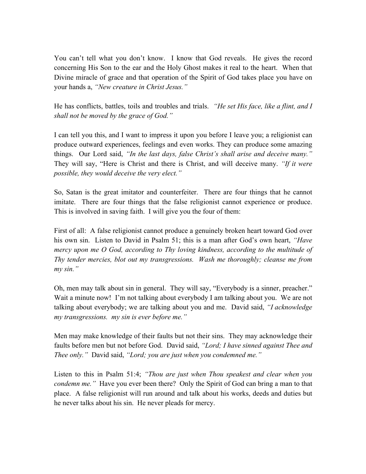You can't tell what you don't know. I know that God reveals. He gives the record concerning His Son to the ear and the Holy Ghost makes it real to the heart. When that Divine miracle of grace and that operation of the Spirit of God takes place you have on your hands a, *"New creature in Christ Jesus."*

He has conflicts, battles, toils and troubles and trials. *"He set His face, like a flint, and I shall not be moved by the grace of God."*

I can tell you this, and I want to impress it upon you before I leave you; a religionist can produce outward experiences, feelings and even works. They can produce some amazing things. Our Lord said, *"In the last days, false Christ's shall arise and deceive many."* They will say, "Here is Christ and there is Christ, and will deceive many. *"If it were possible, they would deceive the very elect."*

So, Satan is the great imitator and counterfeiter. There are four things that he cannot imitate. There are four things that the false religionist cannot experience or produce. This is involved in saving faith. I will give you the four of them:

First of all: A false religionist cannot produce a genuinely broken heart toward God over his own sin. Listen to David in Psalm 51; this is a man after God's own heart, *"Have mercy upon me O God, according to Thy loving kindness, according to the multitude of Thy tender mercies, blot out my transgressions. Wash me thoroughly; cleanse me from my sin."*

Oh, men may talk about sin in general. They will say, "Everybody is a sinner, preacher." Wait a minute now! I'm not talking about everybody I am talking about you. We are not talking about everybody; we are talking about you and me. David said, *"I acknowledge my transgressions. my sin is ever before me."* 

Men may make knowledge of their faults but not their sins. They may acknowledge their faults before men but not before God. David said, *"Lord; I have sinned against Thee and Thee only."* David said, *"Lord; you are just when you condemned me."*

Listen to this in Psalm 51:4; *"Thou are just when Thou speakest and clear when you condemn me.*" Have you ever been there? Only the Spirit of God can bring a man to that place. A false religionist will run around and talk about his works, deeds and duties but he never talks about his sin. He never pleads for mercy.